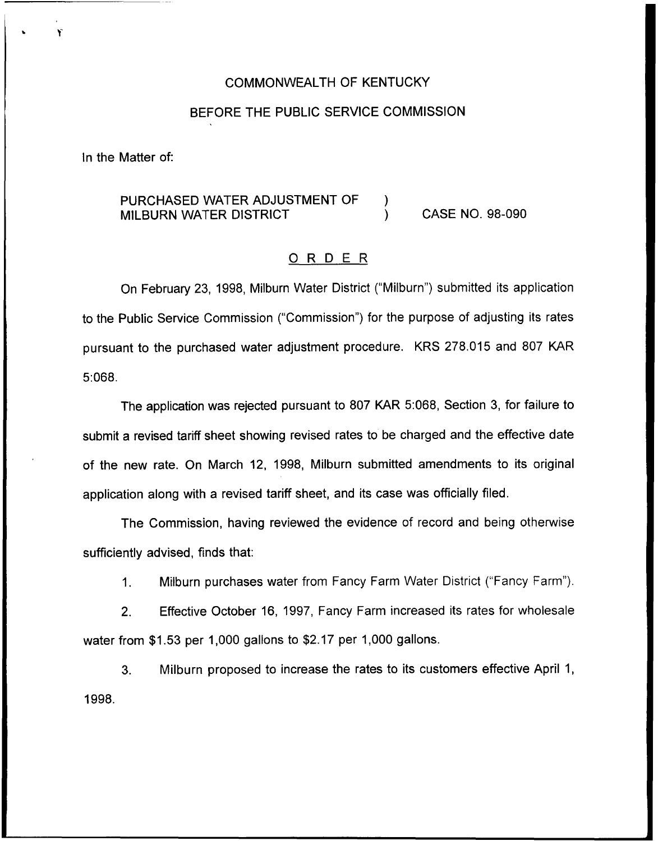### COMMONWEALTH OF KENTUCKY

### BEFORE THE PUBLIC SERVICE COMMISSION

In the Matter of:

#### PURCHASED WATER ADJUSTMENT OF MILBURN WATER DISTRICT  $\lambda$ ) CASE NO. 98-090

## ORDER

On February 23, 1998, Milburn Water District ("Milburn") submitted its application to the Public Service Commission ("Commission") for the purpose of adjusting its rates pursuant to the purchased water adjustment procedure. KRS 278.015 and 807 KAR 5:068.

The application was rejected pursuant to 807 KAR 5:068, Section 3, for failure to submit a revised tariff sheet showing revised rates to be charged and the effective date of the new rate. On March 12, 1998, Milburn submitted amendments to its original application along with a revised tariff sheet, and its case was officially filed.

The Commission, having reviewed the evidence of record and being otherwise sufficiently advised, finds that:

1. Milburn purchases water from Fancy Farm Water District ("Fancy Farm").

2. Effective October 16, 1997, Fancy Farm increased its rates for wholesale water from \$1.53 per 1,000 gallons to \$2.17 per 1,000 gallons.

3. Milburn proposed to increase the rates to its customers effective April 1, 1998.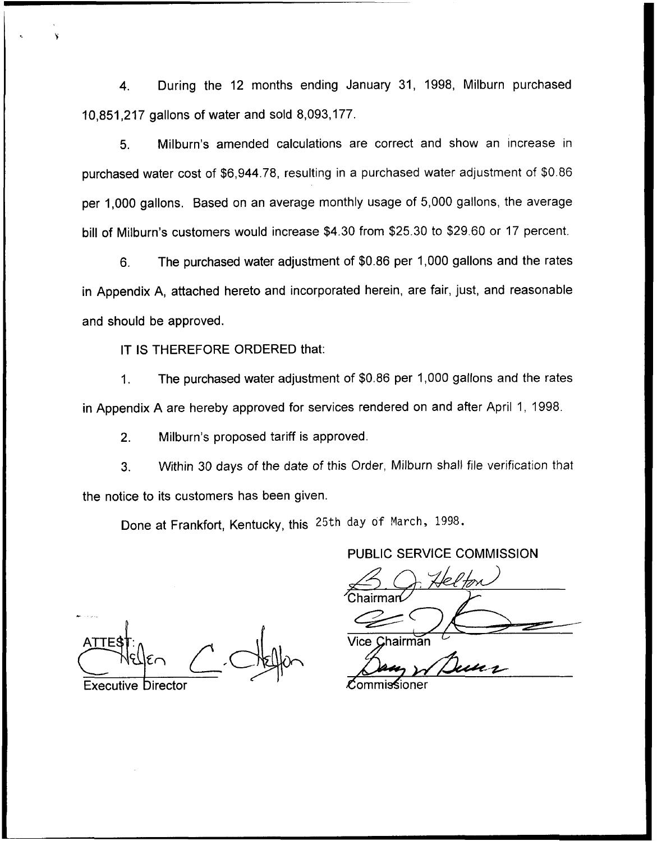4. During the 12 months ending January 31, 1998, Milburn purchased 10,851,217 gallons of water and sold 8,093,177.

5. Milburn's amended calculations are correct and show an increase in purchased water cost of \$6,944.78, resulting in a purchased water adjustment of \$0.86 per 1,000 gallons. Based on an average monthly usage of 5,000 gallons, the average bill of Milburn's customers would increase \$4.30 from \$25.30 to \$29.60 or 17 percent.

6. The purchased water adjustment of \$0.86 per 1,000 gallons and the rates in Appendix A, attached hereto and incorporated herein, are fair, just, and reasonable and should be approved.

IT IS THEREFORE ORDERED that:

1. The purchased water adjustment of \$0.86 per 1,000 gallons and the rates in Appendix <sup>A</sup> are hereby approved for services rendered on and after April 1, 1998.

2. Milburn's proposed tariff is approved.

3. Within 30 days of the date of this Order, Milburn shall file verification that the notice to its customers has been given.

Done at Frankfort, Kentucky, this 25th day of March, 1998.

PUBLIC SERVICE COMMISSION

Chairmart∕ Vice *Ç*hairma

Executive Director **Commissioner** Commissioner